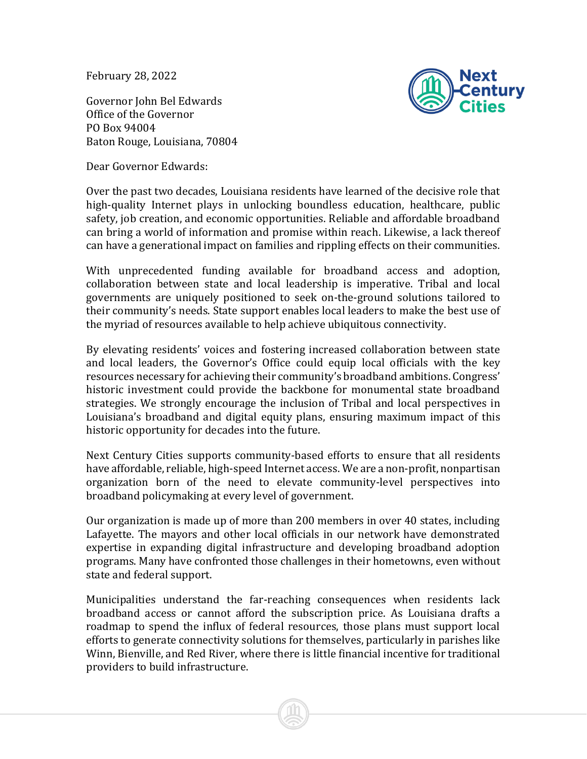February 28, 2022

Governor John Bel Edwards Office of the Governor PO Box 94004 Baton Rouge, Louisiana, 70804



Dear Governor Edwards:

Over the past two decades, Louisiana residents have learned of the decisive role that high-quality Internet plays in unlocking boundless education, healthcare, public safety, job creation, and economic opportunities. Reliable and affordable broadband can bring a world of information and promise within reach. Likewise, a lack thereof can have a generational impact on families and rippling effects on their communities.

With unprecedented funding available for broadband access and adoption, collaboration between state and local leadership is imperative. Tribal and local governments are uniquely positioned to seek on-the-ground solutions tailored to their community's needs. State support enables local leaders to make the best use of the myriad of resources available to help achieve ubiquitous connectivity.

By elevating residents' voices and fostering increased collaboration between state and local leaders, the Governor's Office could equip local officials with the key resources necessary for achieving their community's broadband ambitions. Congress' historic investment could provide the backbone for monumental state broadband strategies. We strongly encourage the inclusion of Tribal and local perspectives in Louisiana's broadband and digital equity plans, ensuring maximum impact of this historic opportunity for decades into the future.

Next Century Cities supports community-based efforts to ensure that all residents have affordable, reliable, high-speed Internet access. We are a non-profit, nonpartisan organization born of the need to elevate community-level perspectives into broadband policymaking at every level of government.

Our organization is made up of more than 200 members in over 40 states, including Lafayette. The mayors and other local officials in our network have demonstrated expertise in expanding digital infrastructure and developing broadband adoption programs. Many have confronted those challenges in their hometowns, even without state and federal support.

Municipalities understand the far-reaching consequences when residents lack broadband access or cannot afford the subscription price. As Louisiana drafts a roadmap to spend the influx of federal resources, those plans must support local efforts to generate connectivity solutions for themselves, particularly in parishes like Winn, Bienville, and Red River, where there is little financial incentive for traditional providers to build infrastructure.